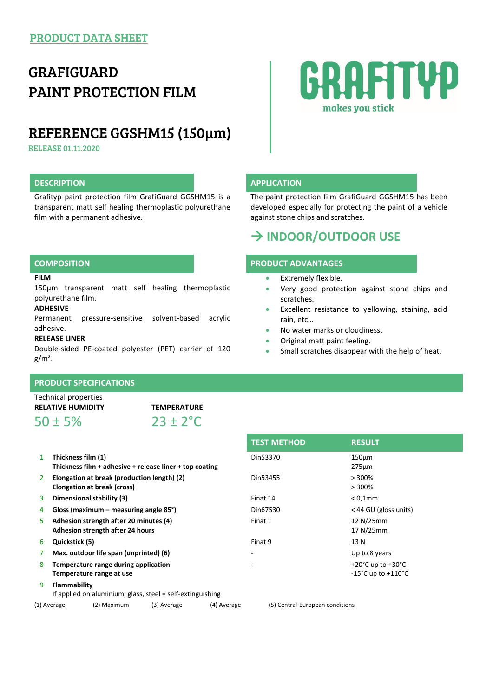## GRAFIGUARD PAINT PROTECTION FILM

### REFERENCE GGSHM15 (150µm)

RELEASE 01.11.2020

### **DESCRIPTION APPLICATION**

Grafityp paint protection film GrafiGuard GGSHM15 is a transparent matt self healing thermoplastic polyurethane film with a permanent adhesive.

# **RAFITYP** makes you stick

The paint protection film GrafiGuard GGSHM15 has been developed especially for protecting the paint of a vehicle against stone chips and scratches.

### **INDOOR/OUTDOOR USE**

#### **COMPOSITION PRODUCT ADVANTAGES**

- Extremely flexible.
- Very good protection against stone chips and scratches.
- Excellent resistance to yellowing, staining, acid rain, etc…
- No water marks or cloudiness.
- Original matt paint feeling.
- Small scratches disappear with the help of heat.

#### 150µm transparent matt self healing thermoplastic polyurethane film.

**ADHESIVE**

**FILM**

Permanent pressure-sensitive solvent-based acrylic adhesive.

#### **RELEASE LINER**

Double-sided PE-coated polyester (PET) carrier of 120  $g/m<sup>2</sup>$ .

### **PRODUCT SPECIFICATIONS**

Technical properties

 $50 \pm 5\%$  23 + 2<sup>°</sup>C

**RELATIVE HUMIDITY TEMPERATURE**

- 1 **Thickness film (1) Thickness film + adhesive + release liner + top coating**
- 2 **Elongation at break (production length) (2) Elongation at break (cross)**
- 
- 
- 5 **Adhesion strength after 20 minutes (4) Adhesion strength after 24 hours**
- 
- 
- 8 **Temperature range during application Temperature range at use**
- 9 **Flammability**
- If applied on aluminium, glass, steel = self-extinguishing

(1) Average (2) Maximum (3) Average (4) Average (5) Central-European conditions

**TEST METHOD RESULT** Din53370 150µm 275µm Din53455 > 300% > 300% 3 **Dimensional stability (3)** Finat 14 < 0,1mm 4 **Gloss (maximum – measuring angle 85°)** Din67530 < 44 GU (gloss units) Finat 1 12 N/25mm 17 N/25mm 6 **Quickstick (5)** Finat 9 13 N 7 **Max. outdoor life span (unprinted) (6)** - Up to 8 years  $+20^{\circ}$ C up to  $+30^{\circ}$ C -15°C up to +110°C